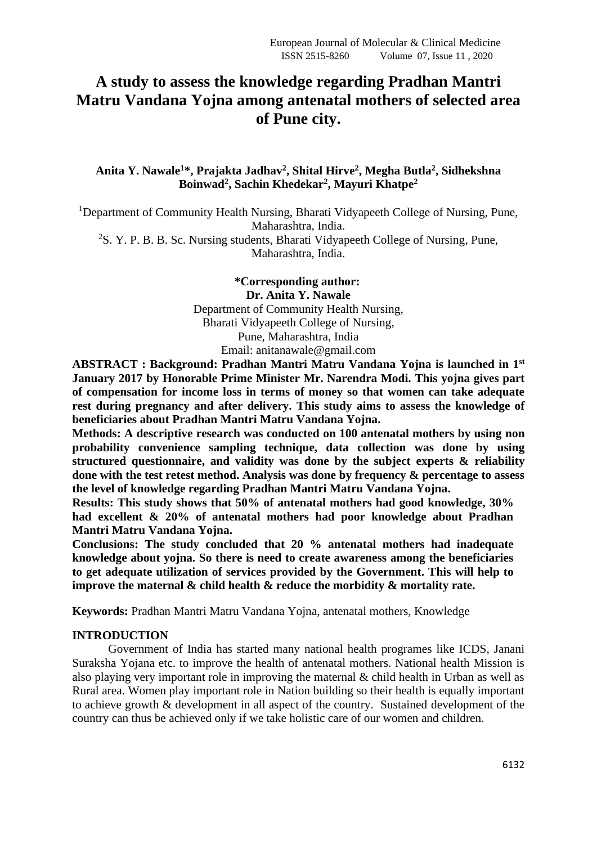# **A study to assess the knowledge regarding Pradhan Mantri Matru Vandana Yojna among antenatal mothers of selected area of Pune city.**

# **Anita Y. Nawale<sup>1</sup>\*, Prajakta Jadhav<sup>2</sup> , Shital Hirve<sup>2</sup> , Megha Butla<sup>2</sup> , Sidhekshna Boinwad<sup>2</sup> , Sachin Khedekar<sup>2</sup> , Mayuri Khatpe<sup>2</sup>**

<sup>1</sup>Department of Community Health Nursing, Bharati Vidyapeeth College of Nursing, Pune, Maharashtra, India. <sup>2</sup>S. Y. P. B. B. Sc. Nursing students, Bharati Vidyapeeth College of Nursing, Pune, Maharashtra, India.

> **\*Corresponding author: Dr. Anita Y. Nawale** Department of Community Health Nursing, Bharati Vidyapeeth College of Nursing, Pune, Maharashtra, India Email: anitanawale@gmail.com

**ABSTRACT : Background: Pradhan Mantri Matru Vandana Yojna is launched in 1 st January 2017 by Honorable Prime Minister Mr. Narendra Modi. This yojna gives part of compensation for income loss in terms of money so that women can take adequate rest during pregnancy and after delivery. This study aims to assess the knowledge of beneficiaries about Pradhan Mantri Matru Vandana Yojna.** 

**Methods: A descriptive research was conducted on 100 antenatal mothers by using non probability convenience sampling technique, data collection was done by using structured questionnaire, and validity was done by the subject experts & reliability done with the test retest method. Analysis was done by frequency & percentage to assess the level of knowledge regarding Pradhan Mantri Matru Vandana Yojna.**

**Results: This study shows that 50% of antenatal mothers had good knowledge, 30% had excellent & 20% of antenatal mothers had poor knowledge about Pradhan Mantri Matru Vandana Yojna.**

**Conclusions: The study concluded that 20 % antenatal mothers had inadequate knowledge about yojna. So there is need to create awareness among the beneficiaries to get adequate utilization of services provided by the Government. This will help to improve the maternal & child health & reduce the morbidity & mortality rate.**

**Keywords:** Pradhan Mantri Matru Vandana Yojna, antenatal mothers, Knowledge

## **INTRODUCTION**

Government of India has started many national health programes like ICDS, Janani Suraksha Yojana etc. to improve the health of antenatal mothers. National health Mission is also playing very important role in improving the maternal & child health in Urban as well as Rural area. Women play important role in Nation building so their health is equally important to achieve growth & development in all aspect of the country. Sustained development of the country can thus be achieved only if we take holistic care of our women and children.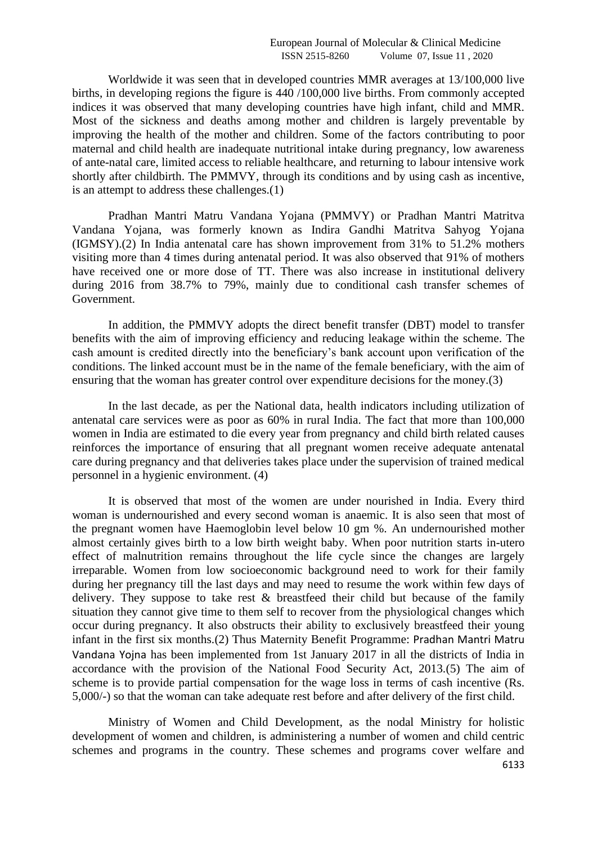Worldwide it was seen that in developed countries MMR averages at 13/100,000 live births, in developing regions the figure is 440 /100,000 live births. From commonly accepted indices it was observed that many developing countries have high infant, child and MMR. Most of the sickness and deaths among mother and children is largely preventable by improving the health of the mother and children. Some of the factors contributing to poor maternal and child health are inadequate nutritional intake during pregnancy, low awareness of ante-natal care, limited access to reliable healthcare, and returning to labour intensive work shortly after childbirth. The PMMVY, through its conditions and by using cash as incentive, is an attempt to address these challenges.(1)

Pradhan Mantri Matru Vandana Yojana (PMMVY) or Pradhan Mantri Matritva Vandana Yojana, was formerly known as Indira Gandhi Matritva Sahyog Yojana (IGMSY).(2) In India antenatal care has shown improvement from 31% to 51.2% mothers visiting more than 4 times during antenatal period. It was also observed that 91% of mothers have received one or more dose of TT. There was also increase in institutional delivery during 2016 from 38.7% to 79%, mainly due to conditional cash transfer schemes of Government.

In addition, the PMMVY adopts the direct benefit transfer (DBT) model to transfer benefits with the aim of improving efficiency and reducing leakage within the scheme. The cash amount is credited directly into the beneficiary's bank account upon verification of the conditions. The linked account must be in the name of the female beneficiary, with the aim of ensuring that the woman has greater control over expenditure decisions for the money.(3)

In the last decade, as per the National data, health indicators including utilization of antenatal care services were as poor as 60% in rural India. The fact that more than 100,000 women in India are estimated to die every year from pregnancy and child birth related causes reinforces the importance of ensuring that all pregnant women receive adequate antenatal care during pregnancy and that deliveries takes place under the supervision of trained medical personnel in a hygienic environment. (4)

It is observed that most of the women are under nourished in India. Every third woman is undernourished and every second woman is anaemic. It is also seen that most of the pregnant women have Haemoglobin level below 10 gm %. An undernourished mother almost certainly gives birth to a low birth weight baby. When poor nutrition starts in-utero effect of malnutrition remains throughout the life cycle since the changes are largely irreparable. Women from low socioeconomic background need to work for their family during her pregnancy till the last days and may need to resume the work within few days of delivery. They suppose to take rest & breastfeed their child but because of the family situation they cannot give time to them self to recover from the physiological changes which occur during pregnancy. It also obstructs their ability to exclusively breastfeed their young infant in the first six months.(2) Thus Maternity Benefit Programme: Pradhan Mantri Matru Vandana Yojna has been implemented from 1st January 2017 in all the districts of India in accordance with the provision of the National Food Security Act, 2013.(5) The aim of scheme is to provide partial compensation for the wage loss in terms of cash incentive (Rs. 5,000/-) so that the woman can take adequate rest before and after delivery of the first child.

Ministry of Women and Child Development, as the nodal Ministry for holistic development of women and children, is administering a number of women and child centric schemes and programs in the country. These schemes and programs cover welfare and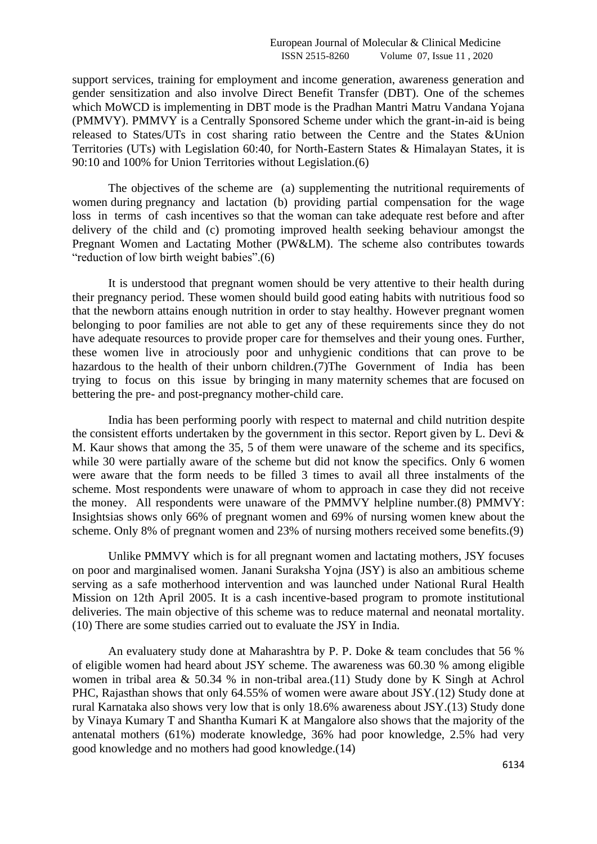support services, training for employment and income generation, awareness generation and gender sensitization and also involve Direct Benefit Transfer (DBT). One of the schemes which MoWCD is implementing in DBT mode is the Pradhan Mantri Matru Vandana Yojana (PMMVY). PMMVY is a Centrally Sponsored Scheme under which the grant-in-aid is being released to States/UTs in cost sharing ratio between the Centre and the States &Union Territories (UTs) with Legislation 60:40, for North-Eastern States & Himalayan States, it is 90:10 and 100% for Union Territories without Legislation.(6)

The objectives of the scheme are (a) supplementing the nutritional requirements of women during pregnancy and lactation (b) providing partial compensation for the wage loss in terms of cash incentives so that the woman can take adequate rest before and after delivery of the child and (c) promoting improved health seeking behaviour amongst the Pregnant Women and Lactating Mother (PW&LM). The scheme also contributes towards "reduction of low birth weight babies".(6)

It is understood that pregnant women should be very attentive to their health during their pregnancy period. These women should build good eating habits with nutritious food so that the newborn attains enough nutrition in order to stay healthy. However pregnant women belonging to poor families are not able to get any of these requirements since they do not have adequate resources to provide proper care for themselves and their young ones. Further, these women live in atrociously poor and unhygienic conditions that can prove to be hazardous to the health of their unborn children.(7)The Government of India has been trying to focus on this issue by bringing in many maternity schemes that are focused on bettering the pre- and post-pregnancy mother-child care.

India has been performing poorly with respect to maternal and child nutrition despite the consistent efforts undertaken by the government in this sector. Report given by L. Devi  $\&$ M. Kaur shows that among the 35, 5 of them were unaware of the scheme and its specifics, while 30 were partially aware of the scheme but did not know the specifics. Only 6 women were aware that the form needs to be filled 3 times to avail all three instalments of the scheme. Most respondents were unaware of whom to approach in case they did not receive the money. All respondents were unaware of the PMMVY helpline number.(8) PMMVY: Insightsias shows only 66% of pregnant women and 69% of nursing women knew about the scheme. Only 8% of pregnant women and 23% of nursing mothers received some benefits.(9)

Unlike PMMVY which is for all pregnant women and lactating mothers, JSY focuses on poor and marginalised women. Janani Suraksha Yojna (JSY) is also an ambitious scheme serving as a safe motherhood intervention and was launched under National Rural Health Mission on 12th April 2005. It is a cash incentive-based program to promote institutional deliveries. The main objective of this scheme was to reduce maternal and neonatal mortality. (10) There are some studies carried out to evaluate the JSY in India.

An evaluatery study done at Maharashtra by P. P. Doke & team concludes that 56 % of eligible women had heard about JSY scheme. The awareness was 60.30 % among eligible women in tribal area & 50.34 % in non-tribal area.(11) Study done by K Singh at Achrol PHC, Rajasthan shows that only 64.55% of women were aware about JSY.(12) Study done at rural Karnataka also shows very low that is only 18.6% awareness about JSY.(13) Study done by Vinaya Kumary T and Shantha Kumari K at Mangalore also shows that the majority of the antenatal mothers (61%) moderate knowledge, 36% had poor knowledge, 2.5% had very good knowledge and no mothers had good knowledge.(14)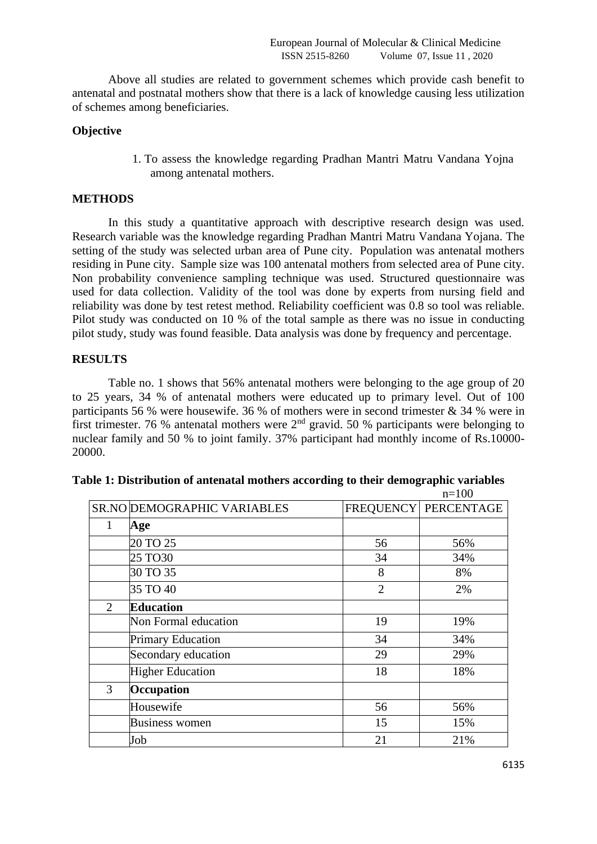Above all studies are related to government schemes which provide cash benefit to antenatal and postnatal mothers show that there is a lack of knowledge causing less utilization of schemes among beneficiaries.

# **Objective**

1. To assess the knowledge regarding Pradhan Mantri Matru Vandana Yojna among antenatal mothers.

## **METHODS**

In this study a quantitative approach with descriptive research design was used. Research variable was the knowledge regarding Pradhan Mantri Matru Vandana Yojana. The setting of the study was selected urban area of Pune city. Population was antenatal mothers residing in Pune city. Sample size was 100 antenatal mothers from selected area of Pune city. Non probability convenience sampling technique was used. Structured questionnaire was used for data collection. Validity of the tool was done by experts from nursing field and reliability was done by test retest method. Reliability coefficient was 0.8 so tool was reliable. Pilot study was conducted on 10 % of the total sample as there was no issue in conducting pilot study, study was found feasible. Data analysis was done by frequency and percentage.

## **RESULTS**

Table no. 1 shows that 56% antenatal mothers were belonging to the age group of 20 to 25 years, 34 % of antenatal mothers were educated up to primary level. Out of 100 participants 56 % were housewife. 36 % of mothers were in second trimester  $\&$  34 % were in first trimester. 76 % antenatal mothers were  $2<sup>nd</sup>$  gravid. 50 % participants were belonging to nuclear family and 50 % to joint family. 37% participant had monthly income of Rs.10000- 20000.

|                |                             |                | $n=100$                |
|----------------|-----------------------------|----------------|------------------------|
|                | SR.NO DEMOGRAPHIC VARIABLES |                | FREQUENCY   PERCENTAGE |
| 1              | Age                         |                |                        |
|                | 20 TO 25                    | 56             | 56%                    |
|                | 25 TO30                     | 34             | 34%                    |
|                | 30 TO 35                    | 8              | 8%                     |
|                | 35 TO 40                    | $\overline{2}$ | 2%                     |
| $\overline{2}$ | <b>Education</b>            |                |                        |
|                | Non Formal education        | 19             | 19%                    |
|                | <b>Primary Education</b>    | 34             | 34%                    |
|                | Secondary education         | 29             | 29%                    |
|                | <b>Higher Education</b>     | 18             | 18%                    |
| 3              | Occupation                  |                |                        |
|                | Housewife                   | 56             | 56%                    |
|                | <b>Business women</b>       | 15             | 15%                    |
|                | Job                         | 21             | 21%                    |

| Table 1: Distribution of antenatal mothers according to their demographic variables |
|-------------------------------------------------------------------------------------|
|-------------------------------------------------------------------------------------|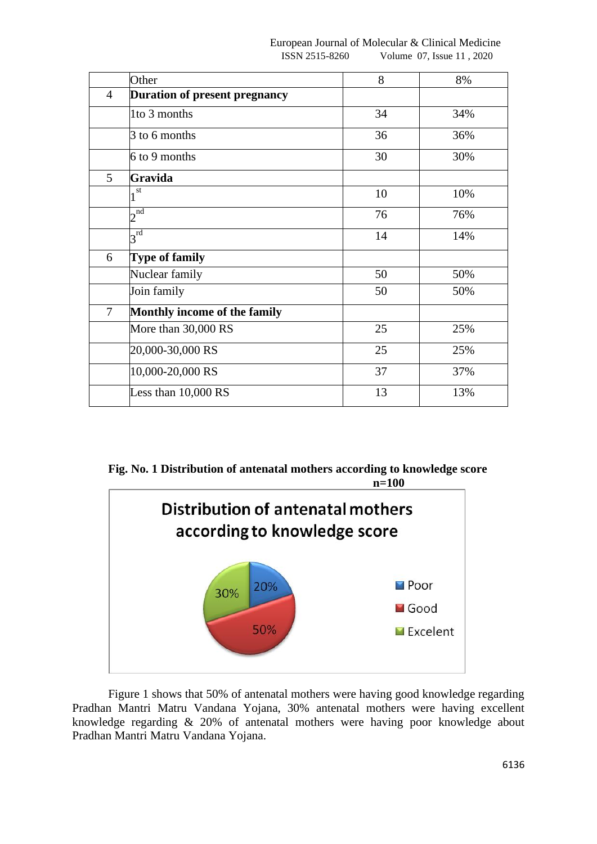|                | Other                                | 8  | 8%  |
|----------------|--------------------------------------|----|-----|
| $\overline{4}$ | <b>Duration of present pregnancy</b> |    |     |
|                | 1to 3 months                         | 34 | 34% |
|                | 3 to 6 months                        | 36 | 36% |
|                | 6 to 9 months                        | 30 | 30% |
| 5              | Gravida                              |    |     |
|                | $1^{\overline{st}}$                  | 10 | 10% |
|                | $2^{\overline{\mathrm{nd}}}$         | 76 | 76% |
|                | $3^{\rm rd}$                         | 14 | 14% |
| 6              | <b>Type of family</b>                |    |     |
|                | Nuclear family                       | 50 | 50% |
|                | Join family                          | 50 | 50% |
| $\overline{7}$ | Monthly income of the family         |    |     |
|                | More than 30,000 RS                  | 25 | 25% |
|                | 20,000-30,000 RS                     | 25 | 25% |
|                | 10,000-20,000 RS                     | 37 | 37% |
|                | Less than 10,000 RS                  | 13 | 13% |

**Fig. No. 1 Distribution of antenatal mothers according to knowledge score n=100**



Figure 1 shows that 50% of antenatal mothers were having good knowledge regarding Pradhan Mantri Matru Vandana Yojana, 30% antenatal mothers were having excellent knowledge regarding & 20% of antenatal mothers were having poor knowledge about Pradhan Mantri Matru Vandana Yojana.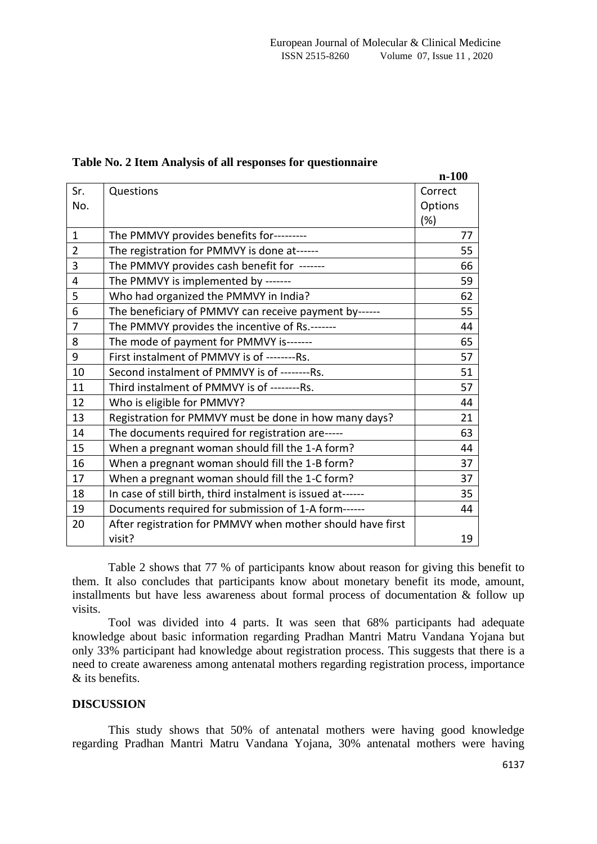|                |                                                             | $n-100$ |
|----------------|-------------------------------------------------------------|---------|
| Sr.            | Questions                                                   | Correct |
| No.            |                                                             | Options |
|                |                                                             | (%)     |
| $\mathbf{1}$   | The PMMVY provides benefits for---------                    | 77      |
| $\overline{2}$ | The registration for PMMVY is done at------                 | 55      |
| 3              | The PMMVY provides cash benefit for ------                  | 66      |
| $\overline{4}$ | The PMMVY is implemented by -------                         | 59      |
| 5              | Who had organized the PMMVY in India?                       | 62      |
| 6              | The beneficiary of PMMVY can receive payment by------       | 55      |
| $\overline{7}$ | The PMMVY provides the incentive of Rs.-------              | 44      |
| 8              | The mode of payment for PMMVY is-------                     | 65      |
| 9              | First instalment of PMMVY is of --------Rs.                 | 57      |
| 10             | Second instalment of PMMVY is of --------Rs.                | 51      |
| 11             | Third instalment of PMMVY is of --------Rs.                 | 57      |
| 12             | Who is eligible for PMMVY?                                  | 44      |
| 13             | Registration for PMMVY must be done in how many days?       | 21      |
| 14             | The documents required for registration are-----            | 63      |
| 15             | When a pregnant woman should fill the 1-A form?             | 44      |
| 16             | When a pregnant woman should fill the 1-B form?             | 37      |
| 17             | When a pregnant woman should fill the 1-C form?             | 37      |
| 18             | In case of still birth, third instalment is issued at------ | 35      |
| 19             | Documents required for submission of 1-A form------         | 44      |
| 20             | After registration for PMMVY when mother should have first  |         |
|                | visit?                                                      | 19      |

#### **Table No. 2 Item Analysis of all responses for questionnaire**

Table 2 shows that 77 % of participants know about reason for giving this benefit to them. It also concludes that participants know about monetary benefit its mode, amount, installments but have less awareness about formal process of documentation & follow up visits.

Tool was divided into 4 parts. It was seen that 68% participants had adequate knowledge about basic information regarding Pradhan Mantri Matru Vandana Yojana but only 33% participant had knowledge about registration process. This suggests that there is a need to create awareness among antenatal mothers regarding registration process, importance & its benefits.

## **DISCUSSION**

This study shows that 50% of antenatal mothers were having good knowledge regarding Pradhan Mantri Matru Vandana Yojana, 30% antenatal mothers were having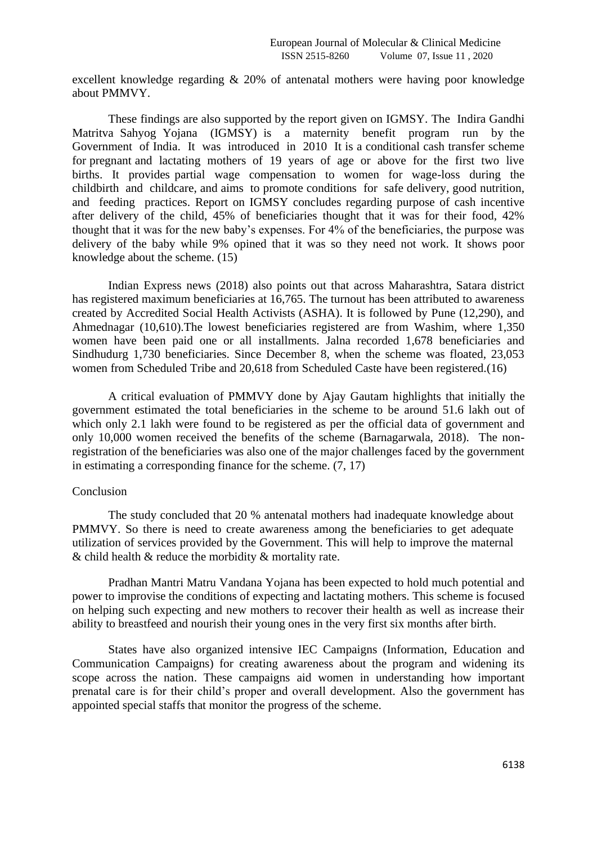excellent knowledge regarding & 20% of antenatal mothers were having poor knowledge about PMMVY.

These findings are also supported by the report given on IGMSY. The Indira Gandhi Matritva Sahyog Yojana (IGMSY) is a maternity benefit program run by the Government of India. It was introduced in 2010 It is a conditional cash transfer scheme for pregnant and lactating mothers of 19 years of age or above for the first two live births. It provides partial wage compensation to women for wage-loss during the childbirth and childcare, and aims to promote conditions for safe delivery, good nutrition, and feeding practices. Report on IGMSY concludes regarding purpose of cash incentive after delivery of the child, 45% of beneficiaries thought that it was for their food, 42% thought that it was for the new baby's expenses. For 4% of the beneficiaries, the purpose was delivery of the baby while 9% opined that it was so they need not work. It shows poor knowledge about the scheme. (15)

Indian Express news (2018) also points out that across Maharashtra, Satara district has registered maximum beneficiaries at 16,765. The turnout has been attributed to awareness created by Accredited Social Health Activists (ASHA). It is followed by Pune (12,290), and Ahmednagar (10,610).The lowest beneficiaries registered are from Washim, where 1,350 women have been paid one or all installments. Jalna recorded 1,678 beneficiaries and Sindhudurg 1,730 beneficiaries. Since December 8, when the scheme was floated, 23,053 women from Scheduled Tribe and 20,618 from Scheduled Caste have been registered.(16)

A critical evaluation of PMMVY done by Ajay Gautam highlights that initially the government estimated the total beneficiaries in the scheme to be around 51.6 lakh out of which only 2.1 lakh were found to be registered as per the official data of government and only 10,000 women received the benefits of the scheme (Barnagarwala, 2018). The nonregistration of the beneficiaries was also one of the major challenges faced by the government in estimating a corresponding finance for the scheme. (7, 17)

## Conclusion

The study concluded that 20 % antenatal mothers had inadequate knowledge about PMMVY. So there is need to create awareness among the beneficiaries to get adequate utilization of services provided by the Government. This will help to improve the maternal & child health & reduce the morbidity & mortality rate.

Pradhan Mantri Matru Vandana Yojana has been expected to hold much potential and power to improvise the conditions of expecting and lactating mothers. This scheme is focused on helping such expecting and new mothers to recover their health as well as increase their ability to breastfeed and nourish their young ones in the very first six months after birth.

States have also organized intensive IEC Campaigns (Information, Education and Communication Campaigns) for creating awareness about the program and widening its scope across the nation. These campaigns aid women in understanding how important prenatal care is for their child's proper and overall development. Also the government has appointed special staffs that monitor the progress of the scheme.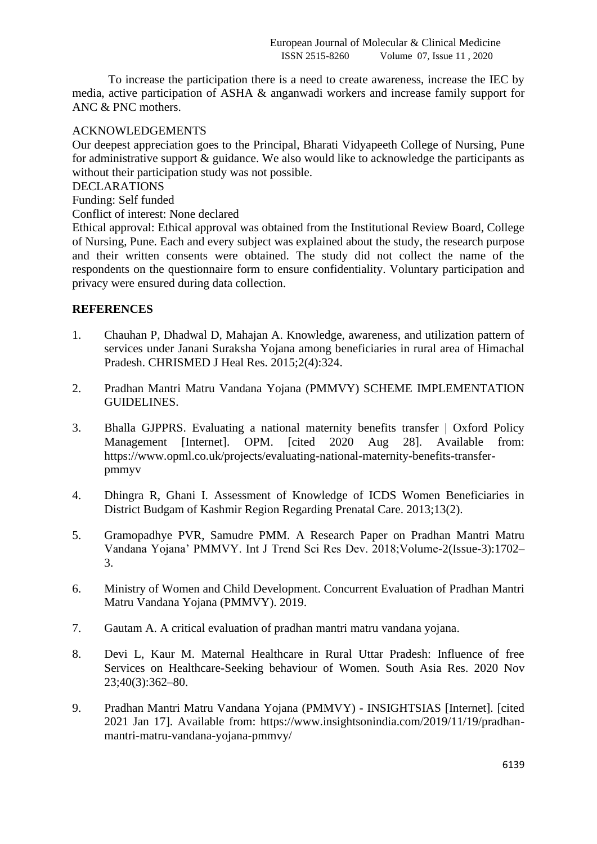To increase the participation there is a need to create awareness, increase the IEC by media, active participation of ASHA & anganwadi workers and increase family support for ANC & PNC mothers.

## ACKNOWLEDGEMENTS

Our deepest appreciation goes to the Principal, Bharati Vidyapeeth College of Nursing, Pune for administrative support & guidance. We also would like to acknowledge the participants as without their participation study was not possible.

DECLARATIONS

Funding: Self funded

Conflict of interest: None declared

Ethical approval: Ethical approval was obtained from the Institutional Review Board, College of Nursing, Pune. Each and every subject was explained about the study, the research purpose and their written consents were obtained. The study did not collect the name of the respondents on the questionnaire form to ensure confidentiality. Voluntary participation and privacy were ensured during data collection.

## **REFERENCES**

- 1. Chauhan P, Dhadwal D, Mahajan A. Knowledge, awareness, and utilization pattern of services under Janani Suraksha Yojana among beneficiaries in rural area of Himachal Pradesh. CHRISMED J Heal Res. 2015;2(4):324.
- 2. Pradhan Mantri Matru Vandana Yojana (PMMVY) SCHEME IMPLEMENTATION GUIDELINES.
- 3. Bhalla GJPPRS. Evaluating a national maternity benefits transfer | Oxford Policy Management [Internet]. OPM. [cited 2020 Aug 28]. Available from: https://www.opml.co.uk/projects/evaluating-national-maternity-benefits-transferpmmyv
- 4. Dhingra R, Ghani I. Assessment of Knowledge of ICDS Women Beneficiaries in District Budgam of Kashmir Region Regarding Prenatal Care. 2013;13(2).
- 5. Gramopadhye PVR, Samudre PMM. A Research Paper on Pradhan Mantri Matru Vandana Yojana' PMMVY. Int J Trend Sci Res Dev. 2018;Volume-2(Issue-3):1702– 3.
- 6. Ministry of Women and Child Development. Concurrent Evaluation of Pradhan Mantri Matru Vandana Yojana (PMMVY). 2019.
- 7. Gautam A. A critical evaluation of pradhan mantri matru vandana yojana.
- 8. Devi L, Kaur M. Maternal Healthcare in Rural Uttar Pradesh: Influence of free Services on Healthcare-Seeking behaviour of Women. South Asia Res. 2020 Nov 23;40(3):362–80.
- 9. Pradhan Mantri Matru Vandana Yojana (PMMVY) INSIGHTSIAS [Internet]. [cited 2021 Jan 17]. Available from: https://www.insightsonindia.com/2019/11/19/pradhanmantri-matru-vandana-yojana-pmmvy/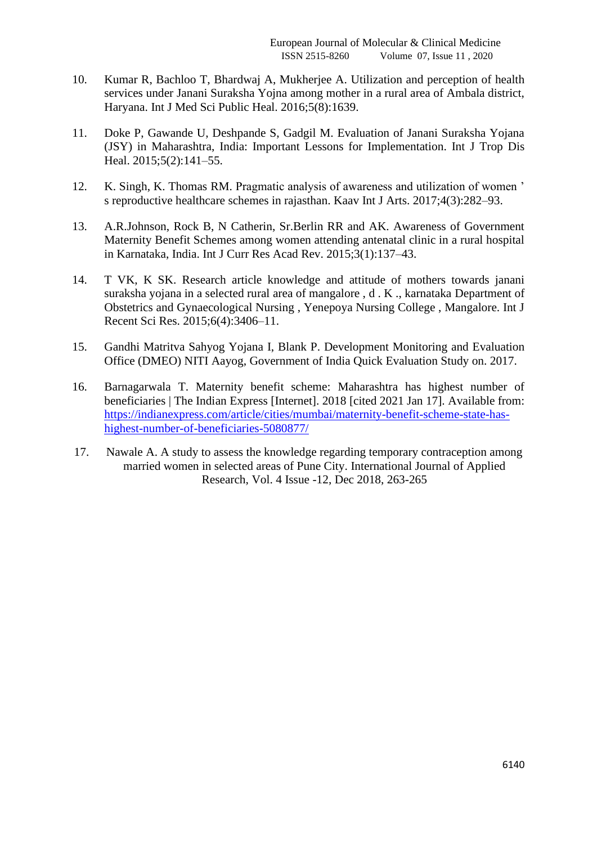- 10. Kumar R, Bachloo T, Bhardwaj A, Mukherjee A. Utilization and perception of health services under Janani Suraksha Yojna among mother in a rural area of Ambala district, Haryana. Int J Med Sci Public Heal. 2016;5(8):1639.
- 11. Doke P, Gawande U, Deshpande S, Gadgil M. Evaluation of Janani Suraksha Yojana (JSY) in Maharashtra, India: Important Lessons for Implementation. Int J Trop Dis Heal. 2015;5(2):141-55.
- 12. K. Singh, K. Thomas RM. Pragmatic analysis of awareness and utilization of women ' s reproductive healthcare schemes in rajasthan. Kaav Int J Arts. 2017;4(3):282–93.
- 13. A.R.Johnson, Rock B, N Catherin, Sr.Berlin RR and AK. Awareness of Government Maternity Benefit Schemes among women attending antenatal clinic in a rural hospital in Karnataka, India. Int J Curr Res Acad Rev. 2015;3(1):137–43.
- 14. T VK, K SK. Research article knowledge and attitude of mothers towards janani suraksha yojana in a selected rural area of mangalore , d . K ., karnataka Department of Obstetrics and Gynaecological Nursing , Yenepoya Nursing College , Mangalore. Int J Recent Sci Res. 2015;6(4):3406–11.
- 15. Gandhi Matritva Sahyog Yojana I, Blank P. Development Monitoring and Evaluation Office (DMEO) NITI Aayog, Government of India Quick Evaluation Study on. 2017.
- 16. Barnagarwala T. Maternity benefit scheme: Maharashtra has highest number of beneficiaries | The Indian Express [Internet]. 2018 [cited 2021 Jan 17]. Available from: [https://indianexpress.com/article/cities/mumbai/maternity-benefit-scheme-state-has](https://indianexpress.com/article/cities/mumbai/maternity-benefit-scheme-state-has-highest-number-of-beneficiaries-5080877/)[highest-number-of-beneficiaries-5080877/](https://indianexpress.com/article/cities/mumbai/maternity-benefit-scheme-state-has-highest-number-of-beneficiaries-5080877/)
- 17. Nawale A. A study to assess the knowledge regarding temporary contraception among married women in selected areas of Pune City. International Journal of Applied Research, Vol. 4 Issue -12, Dec 2018, 263-265